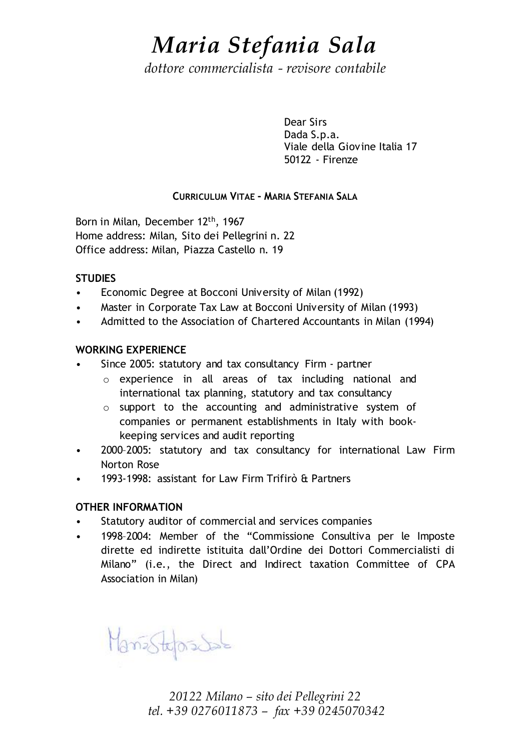## *Maria Stefania Sala*

*dottore commercialista - revisore contabile*

Dear Sirs Dada S.p.a. Viale della Giovine Italia 17 50122 - Firenze

### CURRICULUM VITAE - MARIA STEFANIA SALA

Born in Milan, December 12th, 1967 Home address: Milan, Sito dei Pellegrini n. 22 Office address: Milan, Piazza Castello n. 19

#### **STUDIES**

- Economic Degree at Bocconi University of Milan (1992)
- Master in Corporate Tax Law at Bocconi University of Milan (1993)
- Admitted to the Association of Chartered Accountants in Milan (1994)

#### WORKING EXPERIENCE

- Since 2005: statutory and tax consultancy Firm partner
	- o experience in all areas of tax including national and international tax planning, statutory and tax consultancy
	- o support to the accounting and administrative system of companies or permanent establishments in Italy with bookkeeping services and audit reporting
- 2000–2005: statutory and tax consultancy for international Law Firm Norton Rose
- 1993-1998: assistant for Law Firm Trifirò & Partners

#### OTHER INFORMATION

- Statutory auditor of commercial and services companies
- 1998–2004: Member of the "Commissione Consultiva per le Imposte dirette ed indirette istituita dall'Ordine dei Dottori Commercialisti di Milano" (i.e., the Direct and Indirect taxation Committee of CPA Association in Milan)

Manistepsdale

*20122 Milano – sito dei Pellegrini 22 tel. +39 0276011873 – fax +39 0245070342*